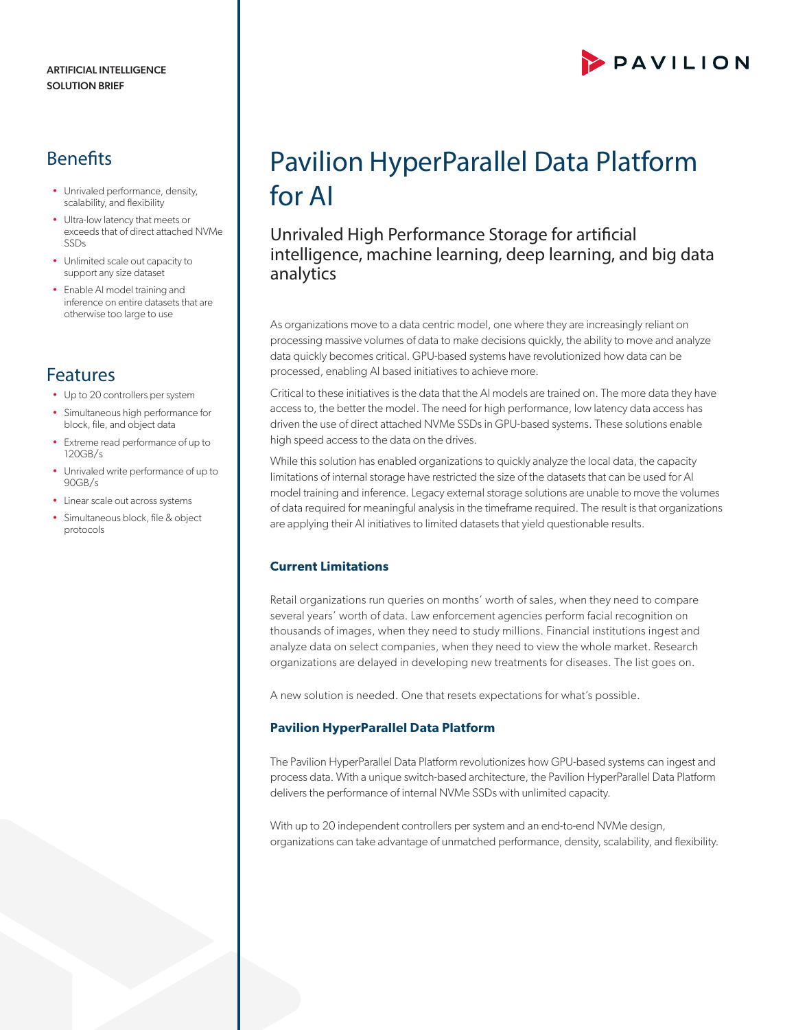## **Benefits**

- Unrivaled performance, density, scalability, and flexibility
- Ultra-low latency that meets or exceeds that of direct attached NVMe SSDs
- Unlimited scale out capacity to support any size dataset
- Enable AI model training and inference on entire datasets that are otherwise too large to use

# Features

- Up to 20 controllers per system
- Simultaneous high performance for block, file, and object data
- Extreme read performance of up to 120GB/s
- Unrivaled write performance of up to 90GB/s
- Linear scale out across systems
- Simultaneous block, file & object protocols

# PAVILION

# Pavilion HyperParallel Data Platform for AI

## Unrivaled High Performance Storage for artificial intelligence, machine learning, deep learning, and big data analytics

As organizations move to a data centric model, one where they are increasingly reliant on processing massive volumes of data to make decisions quickly, the ability to move and analyze data quickly becomes critical. GPU-based systems have revolutionized how data can be processed, enabling AI based initiatives to achieve more.

Critical to these initiatives is the data that the AI models are trained on. The more data they have access to, the better the model. The need for high performance, low latency data access has driven the use of direct attached NVMe SSDs in GPU-based systems. These solutions enable high speed access to the data on the drives.

While this solution has enabled organizations to quickly analyze the local data, the capacity limitations of internal storage have restricted the size of the datasets that can be used for AI model training and inference. Legacy external storage solutions are unable to move the volumes of data required for meaningful analysis in the timeframe required. The result is that organizations are applying their AI initiatives to limited datasets that yield questionable results.

### **Current Limitations**

Retail organizations run queries on months' worth of sales, when they need to compare several years' worth of data. Law enforcement agencies perform facial recognition on thousands of images, when they need to study millions. Financial institutions ingest and analyze data on select companies, when they need to view the whole market. Research organizations are delayed in developing new treatments for diseases. The list goes on.

A new solution is needed. One that resets expectations for what's possible.

### **Pavilion HyperParallel Data Platform**

The Pavilion HyperParallel Data Platform revolutionizes how GPU-based systems can ingest and process data. With a unique switch-based architecture, the Pavilion HyperParallel Data Platform delivers the performance of internal NVMe SSDs with unlimited capacity.

With up to 20 independent controllers per system and an end-to-end NVMe design, organizations can take advantage of unmatched performance, density, scalability, and flexibility.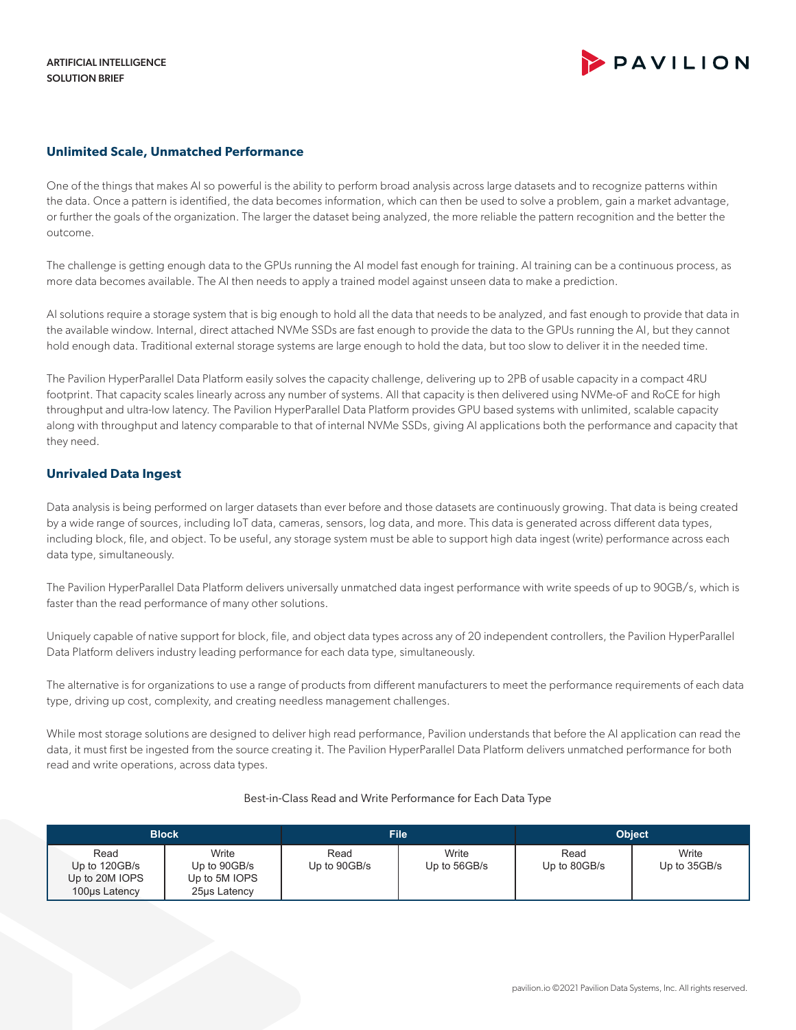#### **Unlimited Scale, Unmatched Performance**

One of the things that makes AI so powerful is the ability to perform broad analysis across large datasets and to recognize patterns within the data. Once a pattern is identified, the data becomes information, which can then be used to solve a problem, gain a market advantage, or further the goals of the organization. The larger the dataset being analyzed, the more reliable the pattern recognition and the better the outcome.

The challenge is getting enough data to the GPUs running the AI model fast enough for training. AI training can be a continuous process, as more data becomes available. The AI then needs to apply a trained model against unseen data to make a prediction.

AI solutions require a storage system that is big enough to hold all the data that needs to be analyzed, and fast enough to provide that data in the available window. Internal, direct attached NVMe SSDs are fast enough to provide the data to the GPUs running the AI, but they cannot hold enough data. Traditional external storage systems are large enough to hold the data, but too slow to deliver it in the needed time.

The Pavilion HyperParallel Data Platform easily solves the capacity challenge, delivering up to 2PB of usable capacity in a compact 4RU footprint. That capacity scales linearly across any number of systems. All that capacity is then delivered using NVMe-oF and RoCE for high throughput and ultra-low latency. The Pavilion HyperParallel Data Platform provides GPU based systems with unlimited, scalable capacity along with throughput and latency comparable to that of internal NVMe SSDs, giving AI applications both the performance and capacity that they need.

#### **Unrivaled Data Ingest**

Data analysis is being performed on larger datasets than ever before and those datasets are continuously growing. That data is being created by a wide range of sources, including IoT data, cameras, sensors, log data, and more. This data is generated across different data types, including block, file, and object. To be useful, any storage system must be able to support high data ingest (write) performance across each data type, simultaneously.

The Pavilion HyperParallel Data Platform delivers universally unmatched data ingest performance with write speeds of up to 90GB/s, which is faster than the read performance of many other solutions.

Uniquely capable of native support for block, file, and object data types across any of 20 independent controllers, the Pavilion HyperParallel Data Platform delivers industry leading performance for each data type, simultaneously.

The alternative is for organizations to use a range of products from different manufacturers to meet the performance requirements of each data type, driving up cost, complexity, and creating needless management challenges.

While most storage solutions are designed to deliver high read performance, Pavilion understands that before the AI application can read the data, it must first be ingested from the source creating it. The Pavilion HyperParallel Data Platform delivers unmatched performance for both read and write operations, across data types.

#### Best-in-Class Read and Write Performance for Each Data Type

| <b>Block</b>                                             |                                                        | <b>File</b>          |                       | <b>Object</b>        |                       |
|----------------------------------------------------------|--------------------------------------------------------|----------------------|-----------------------|----------------------|-----------------------|
| Read<br>Up to 120GB/s<br>Up to 20M IOPS<br>100us Latency | Write<br>Up to 90GB/s<br>Up to 5M IOPS<br>25µs Latency | Read<br>Up to 90GB/s | Write<br>Up to 56GB/s | Read<br>Up to 80GB/s | Write<br>Up to 35GB/s |